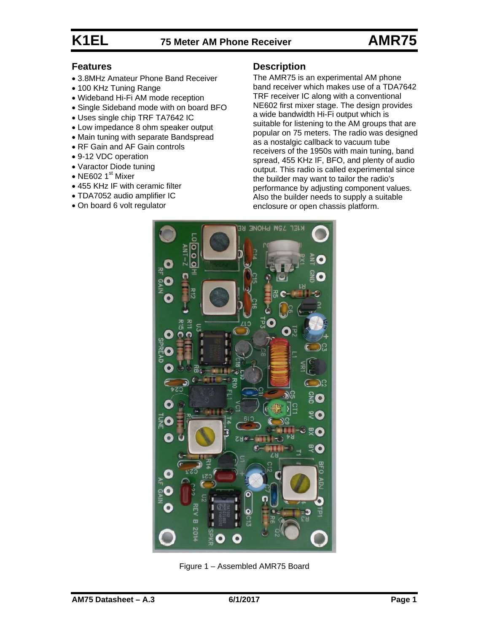# **K1EL 75 Meter AM Phone Receiver AMR75**

- 3.8MHz Amateur Phone Band Receiver
- 100 KHz Tuning Range
- Wideband Hi-Fi AM mode reception
- Single Sideband mode with on board BFO
- Uses single chip TRF TA7642 IC
- Low impedance 8 ohm speaker output
- Main tuning with separate Bandspread
- RF Gain and AF Gain controls
- 9-12 VDC operation
- Varactor Diode tuning
- NE602  $1<sup>st</sup>$  Mixer
- 455 KHz IF with ceramic filter
- TDA7052 audio amplifier IC
- On board 6 volt regulator

## **Features Description**

The AMR75 is an experimental AM phone band receiver which makes use of a TDA7642 TRF receiver IC along with a conventional NE602 first mixer stage. The design provides a wide bandwidth Hi-Fi output which is suitable for listening to the AM groups that are popular on 75 meters. The radio was designed as a nostalgic callback to vacuum tube receivers of the 1950s with main tuning, band spread, 455 KHz IF, BFO, and plenty of audio output. This radio is called experimental since the builder may want to tailor the radio's performance by adjusting component values. Also the builder needs to supply a suitable enclosure or open chassis platform.



Figure 1 – Assembled AMR75 Board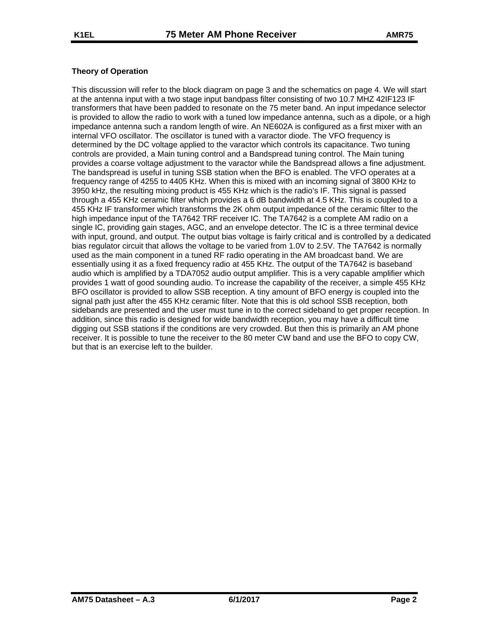### **Theory of Operation**

This discussion will refer to the block diagram on page 3 and the schematics on page 4. We will start at the antenna input with a two stage input bandpass filter consisting of two 10.7 MHZ 42IF123 IF transformers that have been padded to resonate on the 75 meter band. An input impedance selector is provided to allow the radio to work with a tuned low impedance antenna, such as a dipole, or a high impedance antenna such a random length of wire. An NE602A is configured as a first mixer with an internal VFO oscillator. The oscillator is tuned with a varactor diode. The VFO frequency is determined by the DC voltage applied to the varactor which controls its capacitance. Two tuning controls are provided, a Main tuning control and a Bandspread tuning control. The Main tuning provides a coarse voltage adjustment to the varactor while the Bandspread allows a fine adjustment. The bandspread is useful in tuning SSB station when the BFO is enabled. The VFO operates at a frequency range of 4255 to 4405 KHz. When this is mixed with an incoming signal of 3800 KHz to 3950 kHz, the resulting mixing product is 455 KHz which is the radio's IF. This signal is passed through a 455 KHz ceramic filter which provides a 6 dB bandwidth at 4.5 KHz. This is coupled to a 455 KHz IF transformer which transforms the 2K ohm output impedance of the ceramic filter to the high impedance input of the TA7642 TRF receiver IC. The TA7642 is a complete AM radio on a single IC, providing gain stages, AGC, and an envelope detector. The IC is a three terminal device with input, ground, and output. The output bias voltage is fairly critical and is controlled by a dedicated bias regulator circuit that allows the voltage to be varied from 1.0V to 2.5V. The TA7642 is normally used as the main component in a tuned RF radio operating in the AM broadcast band. We are essentially using it as a fixed frequency radio at 455 KHz. The output of the TA7642 is baseband audio which is amplified by a TDA7052 audio output amplifier. This is a very capable amplifier which provides 1 watt of good sounding audio. To increase the capability of the receiver, a simple 455 KHz BFO oscillator is provided to allow SSB reception. A tiny amount of BFO energy is coupled into the signal path just after the 455 KHz ceramic filter. Note that this is old school SSB reception, both sidebands are presented and the user must tune in to the correct sideband to get proper reception. In addition, since this radio is designed for wide bandwidth reception, you may have a difficult time digging out SSB stations if the conditions are very crowded. But then this is primarily an AM phone receiver. It is possible to tune the receiver to the 80 meter CW band and use the BFO to copy CW, but that is an exercise left to the builder.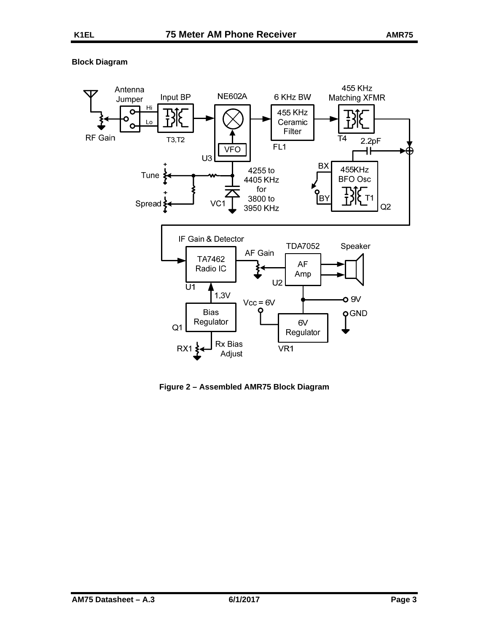## **Block Diagram**



**Figure 2 – Assembled AMR75 Block Diagram**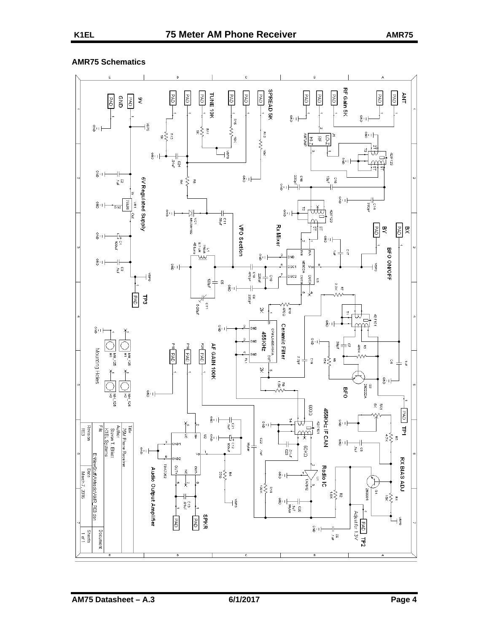$\frac{1}{\sqrt{2}}$ 

25133

 $\frac{1}{\sqrt{2}}$ 

 $\bar{\mathbf{Z}}$ ະ ຊິ

**PAD**<br>**PAD** 

**RXBIAS ADJ** 

้⊣ฐ

황마  $\overline{\phantom{a}}$ 

 $\frac{1}{2}$ 8

#### **RF Gain 5K** SPREAD 5K k  $\sqrt{8}$  $-540$  $\sqrt{2}$  $-5AD$  $\sqrt{2}$  $\sqrt{\frac{1}{2}}$  $\overline{\phantom{0}1}$ PAD TUNE 10K E  $\frac{1}{6}$  $\mathbb{R}^4$  $\approx$ ᄫ  $\frac{1}{\sqrt{N}}$  $rac{6}{5}$ 흉다 ⊣§  $\frac{9}{5}$ ≠≷∄  $\frac{1}{2}$ 횕니  $\tilde{\pi} \gtrless \tilde{x}$ ANTJMP  $\frac{48}{200}$ É E ⋛  $\vec{\omega}$ Ĕ ⊣§  $\frac{8}{5} + 1$ 흥미  $\begin{bmatrix} 1 & 0 \\ 0 & 1 \\ 0 & 0 \end{bmatrix}$ 좋다  $rac{1}{300}$  $\frac{5}{3}$  ,  $\frac{5}{9}$  $\frac{6}{5}$ 6V Regulated Supply  $\frac{1}{\pi}$   $\mathbb{S}$ ≶  $\vec{\Xi}$  $\overline{\widetilde{\omega}}$  $\frac{6}{5}$  $\cdot$   $\mid$  $+$  $\frac{6}{5}$ guas  $\frac{\zeta}{2}$  $\frac{1}{3}$ <br> $\frac{1}{30}$ 흉내  $\frac{8}{5}$  $\cdot$   $\mid$ å. 21475  $\frac{1}{2}$ **Rx Mixer**  $\sqrt{2}$ 폊 VFO Section  $\frac{6}{4}$ 좋다 —[뉴<br>ਭੂੰ º å. 16.18<br>8.1 um<br>8.1 um BFO ON/OFF  $\frac{2}{4}$ È. w ž м. 음미  $\frac{5}{3}$  $rac{6}{5}$  $\cdot$  +  $\frac{1}{6}$  8 )sci  $=\frac{220}{470}F$  $\frac{1}{3}$ sc2 Loo,  $\frac{1}{2}$  $\tilde{\epsilon}$ **Adoz**  $\frac{R7}{2.2K}$ 읽다  $\overline{\mathcal{L}}$  $\begin{picture}(180,170)(-40,170)(-40,170)(-40,170)(-40,170)(-40,170)(-40,170)(-40,170)(-40,170)(-40,170)(-40,170)(-40,170)(-40,170)(-40,170)(-40,170)(-40,170)(-40,170)(-40,170)(-40,170)(-40,170)(-40,170)(-40,170)(-40,170)(-40,170)(-40,170)(-40,170)(-40,170$  $rac{2}{2}$  $\sqrt{8}$ 코 יבּ<br>ב  $rac{1}{4200}$  $\gtrsim$ E 횕니 공 **Ceramic Filter** 흵다  $\frac{6}{5}$ ŃĎ CFWLA455KGFA<br>CFWLA455KGFA 455KHz 황나 **des**  $\mathbb{Q}$ Bod<br>OVd<br>Doza AF GAIN 100K  $rac{8}{5}$ **GVd**<sup>61</sup> Mounting Holes  $\frac{944}{144} - 725$ | HH\_126<br>| HH\_126 F  $\overline{\zeta}$ 2.2pH  $_{\rm 0}^{\rm 2}$ बूे≶  $\overline{\mathbf{3}}$  $\gtrsim$ 울. is<br>VV<br>VV  $\frac{1}{\sum_{\substack{\text{sub--int} \\ \text{sub--int} }}^{\text{sub--int}}}$ U ar\_as<br>as\_as  $\frac{a_2}{28222A}$ **BFO** 횕다  $\frac{9}{2}$   $\frac{9}{2}$ ooos 455KHz IF CAN  $\frac{2}{5}$ u 불일  $\frac{\omega}{\omega}$ 42IF101 휭니 Trile<br>Tom Phone Receiver<br>Author<br>Cle Systems<br>Isla<br>Elle<br>Elle  $\frac{6}{5}$ Revision  $\frac{\square}{\oplus}$  $\frac{1}{\chi} \sum_{n=1}^{\chi} x_n$ న  $\overline{5}$ ΩÑ -0,  $\overline{z}$  $\frac{2}{5}$ u  $\frac{6}{5}$ WD. JPIÁM **BBKO**  $\frac{1}{5}$   $\frac{1}{3}$  $\frac{8}{5}$  $\cdot$   $\mid$  $\underset{\alpha}{\mathbb{S}}$  $\frac{1}{2}$ E:WewStuffAMradioVAMR\_R03.dsn Radio<br>Contra<br>Co 10A7052  $\frac{8}{1}$  $\begin{array}{|c|c|}\n\hline\n\text{Date} & \text{2016} \\
\hline\n\text{March 7, 2016}\n\end{array}$ Audio Output Amplifier  $\tilde{\epsilon}$ Ã  $\frac{1}{2} \leqslant \frac{1}{2}$  $\frac{6}{5}$ TA7642 ↓  $\frac{1}{2}$  $\frac{1}{2}$ DOBONZ ā  $\mathbb{R} \lesssim \mathbb{R}$  $\begin{array}{c}\n\frac{1}{2}\n\end{array}$   $\frac{1}{2}\frac{1}{2}\frac{1}{2}\frac{1}{2}\frac{1}{2}\frac{1}{2}\frac{1}{2}$ 흇 주 ╢  $\frac{2}{3}$ 10.00  $\frac{1}{\text{Adist for } 1.3\sqrt{\frac{1}{2}}}{\sqrt{\frac{1}{2}}}}$

## **AMR75 Schematics**  $\epsilon$

Sheets<br>1 of 1 Document **SPKIR** 

₿

 $\sqrt{P^2}$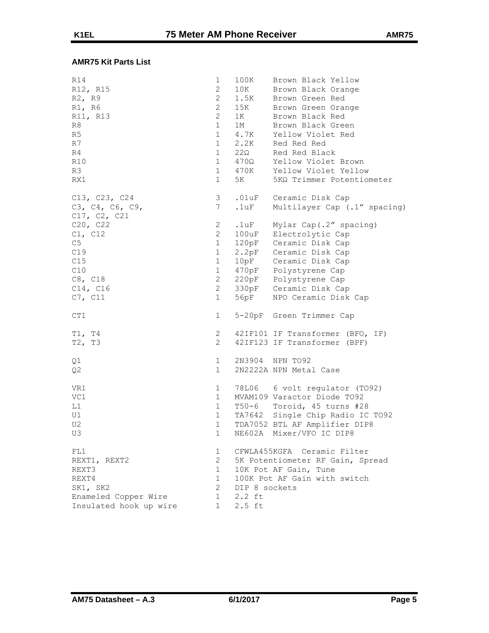## **AMR75 Kit Parts List**

| R14                               | 1              | 100K                                                                                                                         | Brown Black Yellow                                                       |
|-----------------------------------|----------------|------------------------------------------------------------------------------------------------------------------------------|--------------------------------------------------------------------------|
| R12, R15                          | $\overline{2}$ | 10K                                                                                                                          | Brown Black Orange                                                       |
| R2, R9                            | $2^{\circ}$    | 1.5K                                                                                                                         | Brown Green Red                                                          |
| R1, R6                            | $\overline{2}$ | 15K                                                                                                                          | Brown Green Orange                                                       |
| R11, R13                          | $\mathbf{2}$   | 1K and 1 minutes and 1 minutes and 1 minutes and 1 minutes and 1 minutes and 1 minutes and 1 minutes $1 - 1$ minutes $1 - 1$ | Brown Black Red                                                          |
| R8                                | $\mathbf{1}$   | 1M                                                                                                                           | Brown Black Green                                                        |
|                                   |                |                                                                                                                              |                                                                          |
| R5                                | $\mathbf 1$    | 4.7K                                                                                                                         | Yellow Violet Red                                                        |
| R7                                | $\mathbf 1$    | 2.2K                                                                                                                         | Red Red Red                                                              |
| R4                                | $\mathbf 1$    | $22\Omega$                                                                                                                   | Red Red Black                                                            |
| R10                               | $1 -$          | $470\Omega$                                                                                                                  | Yellow Violet Brown                                                      |
| R3                                | $\mathbf 1$    |                                                                                                                              | 470K Yellow Violet Yellow                                                |
| RX1                               | $\mathbf{1}$   | 5K and the set of $\sim$                                                                                                     | 5KQ Trimmer Potentiometer                                                |
| C13, C23, C24                     | 3              |                                                                                                                              | .01uF Ceramic Disk Cap                                                   |
| C3, C4, C6, C9,<br>C17, C2, C21   | 7              | .1uF                                                                                                                         | Multilayer Cap (.1" spacing)                                             |
| C <sub>20</sub> , C <sub>22</sub> | $2^{\circ}$    | .1uF                                                                                                                         | Mylar Cap (.2" spacing)                                                  |
| C1, C12                           | $2 \quad$      | 100uF                                                                                                                        | Electrolytic Cap                                                         |
| C5                                | 1              |                                                                                                                              |                                                                          |
| C19                               |                |                                                                                                                              | 120pF Ceramic Disk Cap                                                   |
|                                   | $\mathbf 1$    |                                                                                                                              | 2.2pF Ceramic Disk Cap<br>10pF Ceramic Disk Cap<br>10pF Ceramic Disk Cap |
| C15                               | 1              |                                                                                                                              |                                                                          |
| C10                               | 1              | 470pF                                                                                                                        | Polystyrene Cap                                                          |
| C8, C18                           | $\mathbf{2}$   |                                                                                                                              | 220pF Polystyrene Cap                                                    |
| C14, C16                          | $2 \quad$      |                                                                                                                              | 330pF Ceramic Disk Cap                                                   |
| C7, C11                           | 1              | 56pF                                                                                                                         | NPO Ceramic Disk Cap                                                     |
| CT1                               | $\mathbf 1$    |                                                                                                                              | 5-20pF Green Trimmer Cap                                                 |
| T1, T4                            | $2^{\circ}$    |                                                                                                                              | 42IF101 IF Transformer (BFO, IF)                                         |
| T2, T3                            | $\overline{2}$ |                                                                                                                              | 42IF123 IF Transformer (BPF)                                             |
| Q1                                | 1              |                                                                                                                              | 2N3904 NPN TO92                                                          |
| Q <sub>2</sub>                    | $1 \quad$      |                                                                                                                              | 2N2222A NPN Metal Case                                                   |
|                                   |                |                                                                                                                              |                                                                          |
| VR1                               | $\mathbf 1$    |                                                                                                                              | 78L06 6 volt regulator (TO92)                                            |
| VC1                               | 1              |                                                                                                                              | MVAM109 Varactor Diode T092                                              |
| L1                                | 1              |                                                                                                                              | T50-6 Toroid, 45 turns #28                                               |
| U1                                | $\mathbf{1}$   |                                                                                                                              | TA7642 Single Chip Radio IC TO92                                         |
| U2                                | $\mathbf 1$    |                                                                                                                              | TDA7052 BTL AF Amplifier DIP8                                            |
| U3                                | $1 \quad$      |                                                                                                                              | NE602A Mixer/VFO IC DIP8                                                 |
| FL1                               | 1              |                                                                                                                              | CFWLA455KGFA Ceramic Filter                                              |
| REXT1, REXT2                      | 2              |                                                                                                                              | 5K Potentiometer RF Gain, Spread                                         |
| REXT3                             | $\mathbf 1$    |                                                                                                                              | 10K Pot AF Gain, Tune                                                    |
| REXT4                             | $\mathbf 1$    |                                                                                                                              | 100K Pot AF Gain with switch                                             |
| SK1, SK2                          | $\mathbf{2}$   | DIP 8 sockets                                                                                                                |                                                                          |
| Enameled Copper Wire              | $\mathbf{1}$   | $2.2$ ft                                                                                                                     |                                                                          |
| Insulated hook up wire            | $\mathbf 1$    | $2.5$ ft                                                                                                                     |                                                                          |
|                                   |                |                                                                                                                              |                                                                          |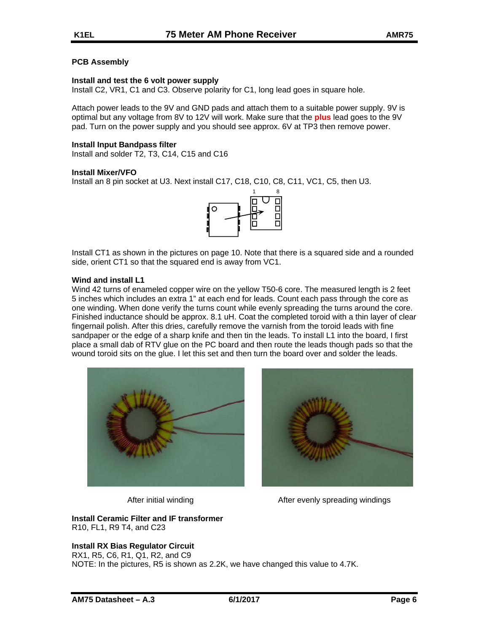### **PCB Assembly**

#### **Install and test the 6 volt power supply**

Install C2, VR1, C1 and C3. Observe polarity for C1, long lead goes in square hole.

Attach power leads to the 9V and GND pads and attach them to a suitable power supply. 9V is optimal but any voltage from 8V to 12V will work. Make sure that the **plus** lead goes to the 9V pad. Turn on the power supply and you should see approx. 6V at TP3 then remove power.

#### **Install Input Bandpass filter**

Install and solder T2, T3, C14, C15 and C16

#### **Install Mixer/VFO**

Install an 8 pin socket at U3. Next install C17, C18, C10, C8, C11, VC1, C5, then U3.



Install CT1 as shown in the pictures on page 10. Note that there is a squared side and a rounded side, orient CT1 so that the squared end is away from VC1.

#### **Wind and install L1**

Wind 42 turns of enameled copper wire on the yellow T50-6 core. The measured length is 2 feet 5 inches which includes an extra 1" at each end for leads. Count each pass through the core as one winding. When done verify the turns count while evenly spreading the turns around the core. Finished inductance should be approx. 8.1 uH. Coat the completed toroid with a thin layer of clear fingernail polish. After this dries, carefully remove the varnish from the toroid leads with fine sandpaper or the edge of a sharp knife and then tin the leads. To install L1 into the board, I first place a small dab of RTV glue on the PC board and then route the leads though pads so that the wound toroid sits on the glue. I let this set and then turn the board over and solder the leads.





After initial winding **After evenly spreading windings** 

**Install Ceramic Filter and IF transformer**  R10, FL1, R9 T4, and C23

#### **Install RX Bias Regulator Circuit**

RX1, R5, C6, R1, Q1, R2, and C9 NOTE: In the pictures, R5 is shown as 2.2K, we have changed this value to 4.7K.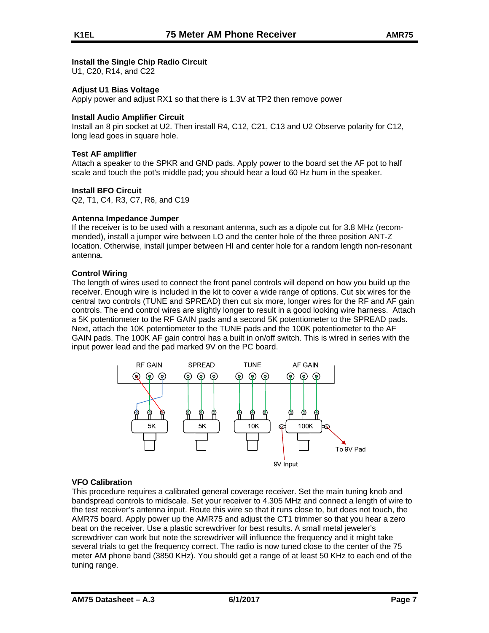#### **Install the Single Chip Radio Circuit**

U1, C20, R14, and C22

#### **Adjust U1 Bias Voltage**

Apply power and adjust RX1 so that there is 1.3V at TP2 then remove power

#### **Install Audio Amplifier Circuit**

Install an 8 pin socket at U2. Then install R4, C12, C21, C13 and U2 Observe polarity for C12, long lead goes in square hole.

#### **Test AF amplifier**

Attach a speaker to the SPKR and GND pads. Apply power to the board set the AF pot to half scale and touch the pot's middle pad; you should hear a loud 60 Hz hum in the speaker.

#### **Install BFO Circuit**

Q2, T1, C4, R3, C7, R6, and C19

#### **Antenna Impedance Jumper**

If the receiver is to be used with a resonant antenna, such as a dipole cut for 3.8 MHz (recommended), install a jumper wire between LO and the center hole of the three position ANT-Z location. Otherwise, install jumper between HI and center hole for a random length non-resonant antenna.

#### **Control Wiring**

The length of wires used to connect the front panel controls will depend on how you build up the receiver. Enough wire is included in the kit to cover a wide range of options. Cut six wires for the central two controls (TUNE and SPREAD) then cut six more, longer wires for the RF and AF gain controls. The end control wires are slightly longer to result in a good looking wire harness. Attach a 5K potentiometer to the RF GAIN pads and a second 5K potentiometer to the SPREAD pads. Next, attach the 10K potentiometer to the TUNE pads and the 100K potentiometer to the AF GAIN pads. The 100K AF gain control has a built in on/off switch. This is wired in series with the input power lead and the pad marked 9V on the PC board.



#### **VFO Calibration**

This procedure requires a calibrated general coverage receiver. Set the main tuning knob and bandspread controls to midscale. Set your receiver to 4.305 MHz and connect a length of wire to the test receiver's antenna input. Route this wire so that it runs close to, but does not touch, the AMR75 board. Apply power up the AMR75 and adjust the CT1 trimmer so that you hear a zero beat on the receiver. Use a plastic screwdriver for best results. A small metal jeweler's screwdriver can work but note the screwdriver will influence the frequency and it might take several trials to get the frequency correct. The radio is now tuned close to the center of the 75 meter AM phone band (3850 KHz). You should get a range of at least 50 KHz to each end of the tuning range.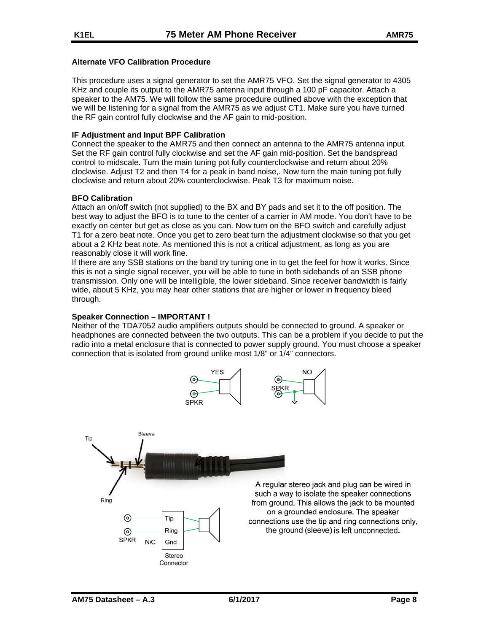#### **Alternate VFO Calibration Procedure**

This procedure uses a signal generator to set the AMR75 VFO. Set the signal generator to 4305 KHz and couple its output to the AMR75 antenna input through a 100 pF capacitor. Attach a speaker to the AM75. We will follow the same procedure outlined above with the exception that we will be listening for a signal from the AMR75 as we adjust CT1. Make sure you have turned the RF gain control fully clockwise and the AF gain to mid-position.

#### **IF Adjustment and Input BPF Calibration**

Connect the speaker to the AMR75 and then connect an antenna to the AMR75 antenna input. Set the RF gain control fully clockwise and set the AF gain mid-position. Set the bandspread control to midscale. Turn the main tuning pot fully counterclockwise and return about 20% clockwise. Adjust T2 and then T4 for a peak in band noise,. Now turn the main tuning pot fully clockwise and return about 20% counterclockwise. Peak T3 for maximum noise.

#### **BFO Calibration**

Attach an on/off switch (not supplied) to the BX and BY pads and set it to the off position. The best way to adjust the BFO is to tune to the center of a carrier in AM mode. You don't have to be exactly on center but get as close as you can. Now turn on the BFO switch and carefully adjust T1 for a zero beat note. Once you get to zero beat turn the adjustment clockwise so that you get about a 2 KHz beat note. As mentioned this is not a critical adjustment, as long as you are reasonably close it will work fine.

If there are any SSB stations on the band try tuning one in to get the feel for how it works. Since this is not a single signal receiver, you will be able to tune in both sidebands of an SSB phone transmission. Only one will be intelligible, the lower sideband. Since receiver bandwidth is fairly wide, about 5 KHz, you may hear other stations that are higher or lower in frequency bleed through.

### **Speaker Connection – IMPORTANT !**

Neither of the TDA7052 audio amplifiers outputs should be connected to ground. A speaker or headphones are connected between the two outputs. This can be a problem if you decide to put the radio into a metal enclosure that is connected to power supply ground. You must choose a speaker connection that is isolated from ground unlike most 1/8" or 1/4" connectors.

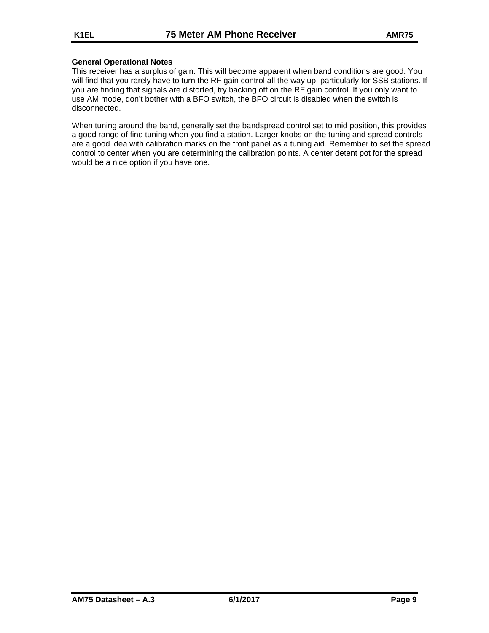### **General Operational Notes**

This receiver has a surplus of gain. This will become apparent when band conditions are good. You will find that you rarely have to turn the RF gain control all the way up, particularly for SSB stations. If you are finding that signals are distorted, try backing off on the RF gain control. If you only want to use AM mode, don't bother with a BFO switch, the BFO circuit is disabled when the switch is disconnected.

When tuning around the band, generally set the bandspread control set to mid position, this provides a good range of fine tuning when you find a station. Larger knobs on the tuning and spread controls are a good idea with calibration marks on the front panel as a tuning aid. Remember to set the spread control to center when you are determining the calibration points. A center detent pot for the spread would be a nice option if you have one.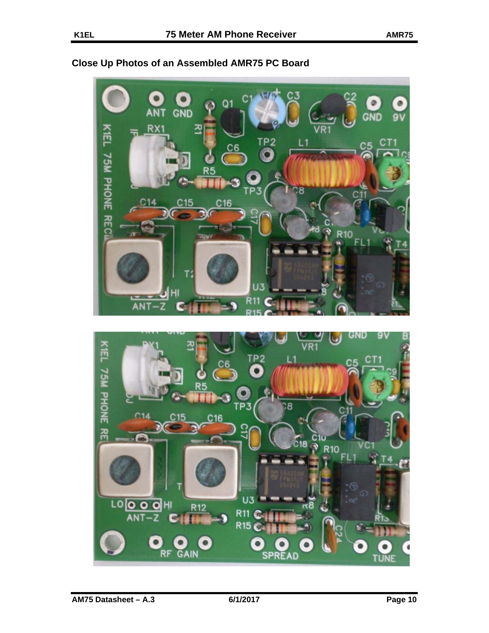

## **Close Up Photos of an Assembled AMR75 PC Board**

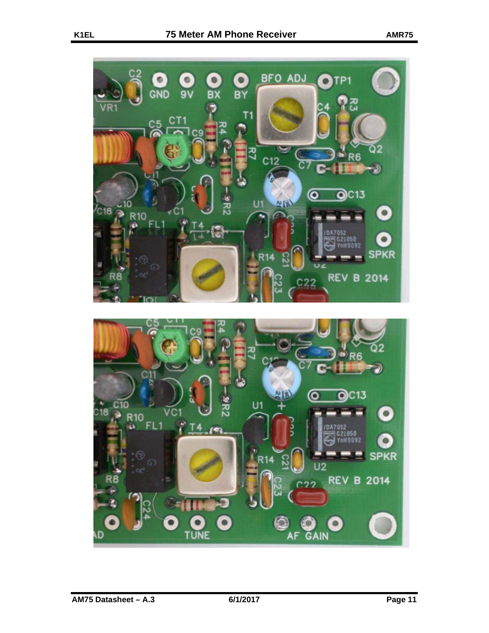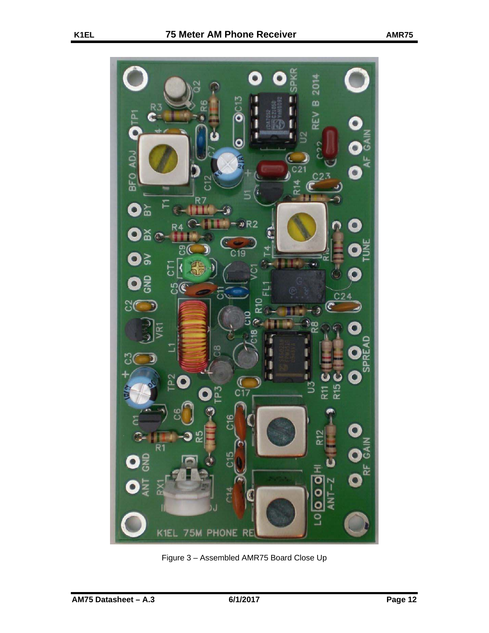

Figure 3 – Assembled AMR75 Board Close Up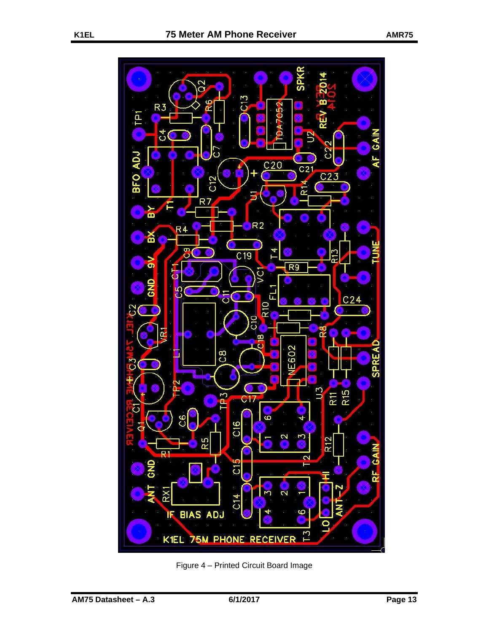

Figure 4 – Printed Circuit Board Image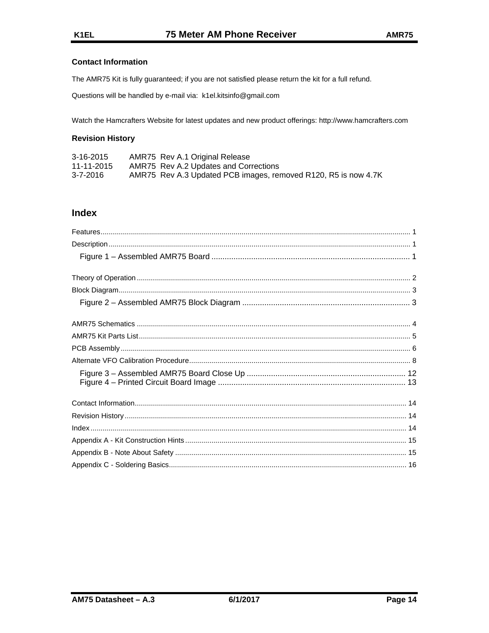## **Contact Information**

The AMR75 Kit is fully guaranteed; if you are not satisfied please return the kit for a full refund.

Questions will be handled by e-mail via: k1el.kitsinfo@gmail.com

Watch the Hamcrafters Website for latest updates and new product offerings: http://www.hamcrafters.com

#### **Revision History**

| 3-16-2015  | AMR75 Rev A.1 Original Release                                 |
|------------|----------------------------------------------------------------|
| 11-11-2015 | AMR75 Rev A.2 Updates and Corrections                          |
| 3-7-2016   | AMR75 Rev A.3 Updated PCB images, removed R120, R5 is now 4.7K |

## **Index**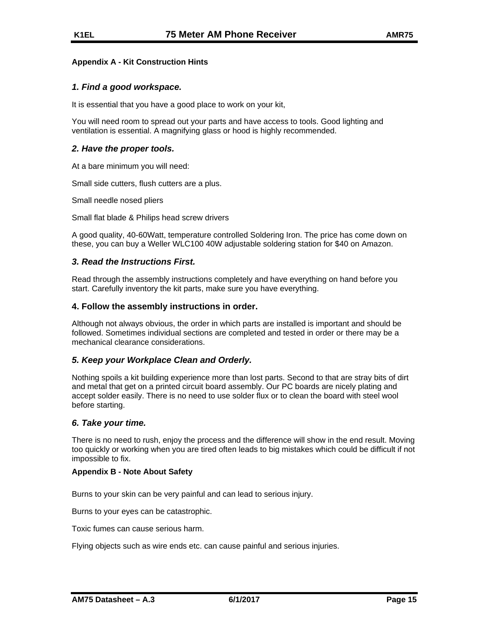### **Appendix A - Kit Construction Hints**

### *1. Find a good workspace.*

It is essential that you have a good place to work on your kit,

You will need room to spread out your parts and have access to tools. Good lighting and ventilation is essential. A magnifying glass or hood is highly recommended.

#### *2. Have the proper tools.*

At a bare minimum you will need:

Small side cutters, flush cutters are a plus.

Small needle nosed pliers

Small flat blade & Philips head screw drivers

A good quality, 40-60Watt, temperature controlled Soldering Iron. The price has come down on these, you can buy a Weller WLC100 40W adjustable soldering station for \$40 on Amazon.

#### *3. Read the Instructions First.*

Read through the assembly instructions completely and have everything on hand before you start. Carefully inventory the kit parts, make sure you have everything.

#### **4. Follow the assembly instructions in order.**

Although not always obvious, the order in which parts are installed is important and should be followed. Sometimes individual sections are completed and tested in order or there may be a mechanical clearance considerations.

#### *5. Keep your Workplace Clean and Orderly.*

Nothing spoils a kit building experience more than lost parts. Second to that are stray bits of dirt and metal that get on a printed circuit board assembly. Our PC boards are nicely plating and accept solder easily. There is no need to use solder flux or to clean the board with steel wool before starting.

#### *6. Take your time.*

There is no need to rush, enjoy the process and the difference will show in the end result. Moving too quickly or working when you are tired often leads to big mistakes which could be difficult if not impossible to fix.

#### **Appendix B - Note About Safety**

Burns to your skin can be very painful and can lead to serious injury.

Burns to your eyes can be catastrophic.

Toxic fumes can cause serious harm.

Flying objects such as wire ends etc. can cause painful and serious injuries.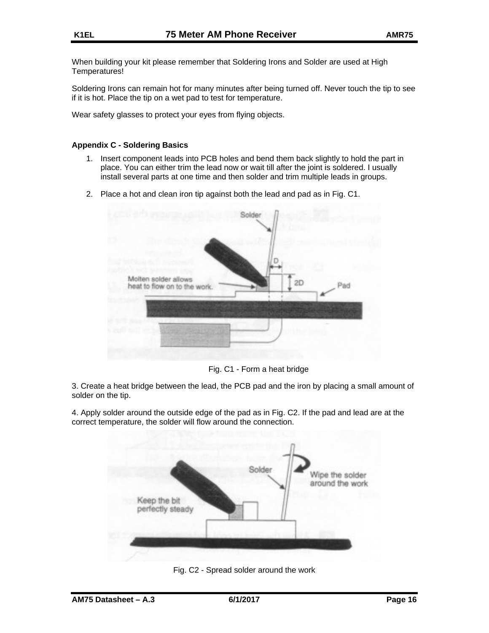When building your kit please remember that Soldering Irons and Solder are used at High Temperatures!

Soldering Irons can remain hot for many minutes after being turned off. Never touch the tip to see if it is hot. Place the tip on a wet pad to test for temperature.

Wear safety glasses to protect your eyes from flying objects.

#### **Appendix C - Soldering Basics**

- 1. Insert component leads into PCB holes and bend them back slightly to hold the part in place. You can either trim the lead now or wait till after the joint is soldered. I usually install several parts at one time and then solder and trim multiple leads in groups.
- 2. Place a hot and clean iron tip against both the lead and pad as in Fig. C1.



Fig. C1 - Form a heat bridge

3. Create a heat bridge between the lead, the PCB pad and the iron by placing a small amount of solder on the tip.

4. Apply solder around the outside edge of the pad as in Fig. C2. If the pad and lead are at the correct temperature, the solder will flow around the connection.



Fig. C2 - Spread solder around the work